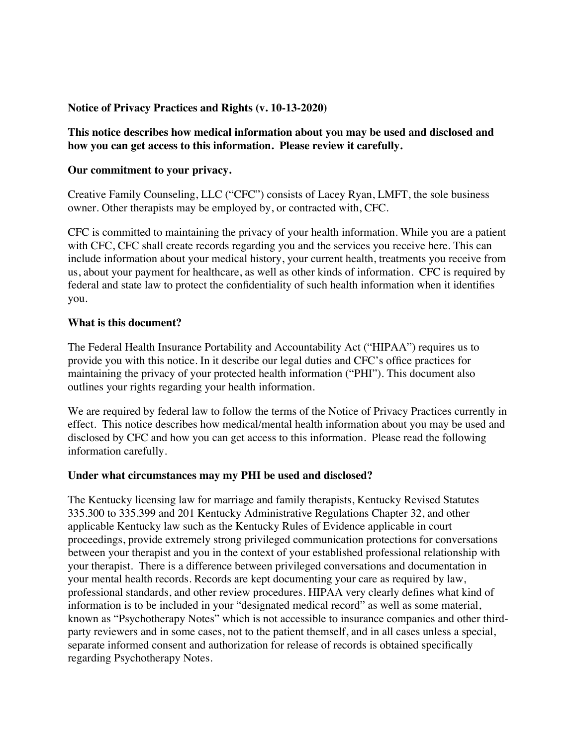#### **Notice of Privacy Practices and Rights (v. 10-13-2020)**

**This notice describes how medical information about you may be used and disclosed and how you can get access to this information. Please review it carefully.**

#### **Our commitment to your privacy.**

Creative Family Counseling, LLC ("CFC") consists of Lacey Ryan, LMFT, the sole business owner. Other therapists may be employed by, or contracted with, CFC.

CFC is committed to maintaining the privacy of your health information. While you are a patient with CFC, CFC shall create records regarding you and the services you receive here. This can include information about your medical history, your current health, treatments you receive from us, about your payment for healthcare, as well as other kinds of information. CFC is required by federal and state law to protect the confidentiality of such health information when it identifies you.

#### **What is this document?**

The Federal Health Insurance Portability and Accountability Act ("HIPAA") requires us to provide you with this notice. In it describe our legal duties and CFC's office practices for maintaining the privacy of your protected health information ("PHI"). This document also outlines your rights regarding your health information.

We are required by federal law to follow the terms of the Notice of Privacy Practices currently in effect. This notice describes how medical/mental health information about you may be used and disclosed by CFC and how you can get access to this information. Please read the following information carefully.

#### **Under what circumstances may my PHI be used and disclosed?**

The Kentucky licensing law for marriage and family therapists, Kentucky Revised Statutes 335.300 to 335.399 and 201 Kentucky Administrative Regulations Chapter 32, and other applicable Kentucky law such as the Kentucky Rules of Evidence applicable in court proceedings, provide extremely strong privileged communication protections for conversations between your therapist and you in the context of your established professional relationship with your therapist. There is a difference between privileged conversations and documentation in your mental health records. Records are kept documenting your care as required by law, professional standards, and other review procedures. HIPAA very clearly defines what kind of information is to be included in your "designated medical record" as well as some material, known as "Psychotherapy Notes" which is not accessible to insurance companies and other thirdparty reviewers and in some cases, not to the patient themself, and in all cases unless a special, separate informed consent and authorization for release of records is obtained specifically regarding Psychotherapy Notes.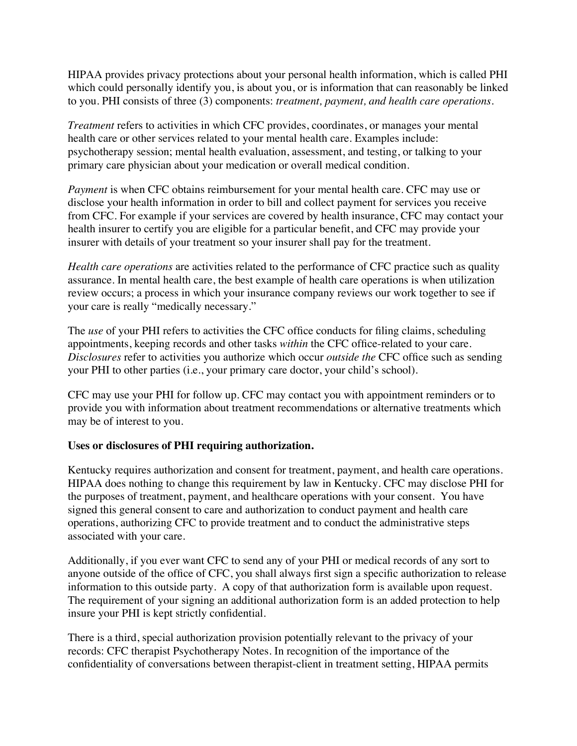HIPAA provides privacy protections about your personal health information, which is called PHI which could personally identify you, is about you, or is information that can reasonably be linked to you. PHI consists of three (3) components: *treatment, payment, and health care operations.*

*Treatment* refers to activities in which CFC provides, coordinates, or manages your mental health care or other services related to your mental health care. Examples include: psychotherapy session; mental health evaluation, assessment, and testing, or talking to your primary care physician about your medication or overall medical condition.

*Payment* is when CFC obtains reimbursement for your mental health care. CFC may use or disclose your health information in order to bill and collect payment for services you receive from CFC. For example if your services are covered by health insurance, CFC may contact your health insurer to certify you are eligible for a particular benefit, and CFC may provide your insurer with details of your treatment so your insurer shall pay for the treatment.

*Health care operations* are activities related to the performance of CFC practice such as quality assurance. In mental health care, the best example of health care operations is when utilization review occurs; a process in which your insurance company reviews our work together to see if your care is really "medically necessary."

The *use* of your PHI refers to activities the CFC office conducts for filing claims, scheduling appointments, keeping records and other tasks *within* the CFC office-related to your care. *Disclosures* refer to activities you authorize which occur *outside the* CFC office such as sending your PHI to other parties (i.e., your primary care doctor, your child's school).

CFC may use your PHI for follow up. CFC may contact you with appointment reminders or to provide you with information about treatment recommendations or alternative treatments which may be of interest to you.

## **Uses or disclosures of PHI requiring authorization.**

Kentucky requires authorization and consent for treatment, payment, and health care operations. HIPAA does nothing to change this requirement by law in Kentucky. CFC may disclose PHI for the purposes of treatment, payment, and healthcare operations with your consent. You have signed this general consent to care and authorization to conduct payment and health care operations, authorizing CFC to provide treatment and to conduct the administrative steps associated with your care.

Additionally, if you ever want CFC to send any of your PHI or medical records of any sort to anyone outside of the office of CFC, you shall always first sign a specific authorization to release information to this outside party. A copy of that authorization form is available upon request. The requirement of your signing an additional authorization form is an added protection to help insure your PHI is kept strictly confidential.

There is a third, special authorization provision potentially relevant to the privacy of your records: CFC therapist Psychotherapy Notes. In recognition of the importance of the confidentiality of conversations between therapist-client in treatment setting, HIPAA permits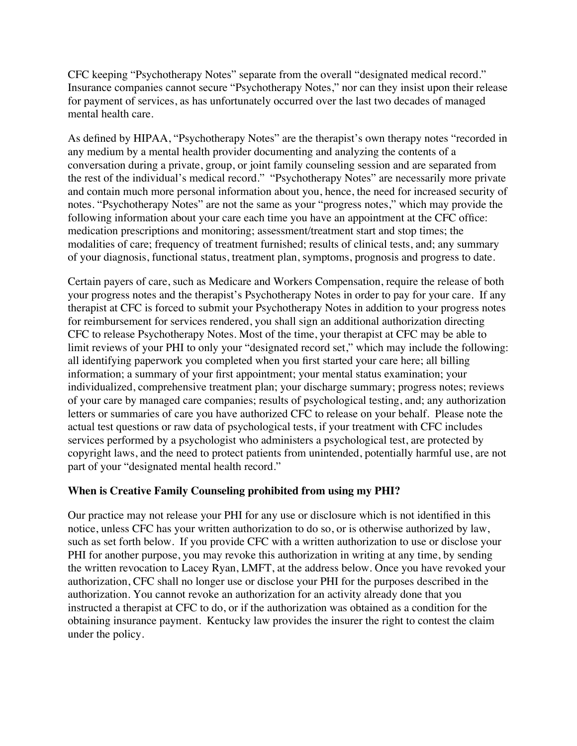CFC keeping "Psychotherapy Notes" separate from the overall "designated medical record." Insurance companies cannot secure "Psychotherapy Notes," nor can they insist upon their release for payment of services, as has unfortunately occurred over the last two decades of managed mental health care.

As defined by HIPAA, "Psychotherapy Notes" are the therapist's own therapy notes "recorded in any medium by a mental health provider documenting and analyzing the contents of a conversation during a private, group, or joint family counseling session and are separated from the rest of the individual's medical record." "Psychotherapy Notes" are necessarily more private and contain much more personal information about you, hence, the need for increased security of notes. "Psychotherapy Notes" are not the same as your "progress notes," which may provide the following information about your care each time you have an appointment at the CFC office: medication prescriptions and monitoring; assessment/treatment start and stop times; the modalities of care; frequency of treatment furnished; results of clinical tests, and; any summary of your diagnosis, functional status, treatment plan, symptoms, prognosis and progress to date.

Certain payers of care, such as Medicare and Workers Compensation, require the release of both your progress notes and the therapist's Psychotherapy Notes in order to pay for your care. If any therapist at CFC is forced to submit your Psychotherapy Notes in addition to your progress notes for reimbursement for services rendered, you shall sign an additional authorization directing CFC to release Psychotherapy Notes. Most of the time, your therapist at CFC may be able to limit reviews of your PHI to only your "designated record set," which may include the following: all identifying paperwork you completed when you first started your care here; all billing information; a summary of your first appointment; your mental status examination; your individualized, comprehensive treatment plan; your discharge summary; progress notes; reviews of your care by managed care companies; results of psychological testing, and; any authorization letters or summaries of care you have authorized CFC to release on your behalf. Please note the actual test questions or raw data of psychological tests, if your treatment with CFC includes services performed by a psychologist who administers a psychological test, are protected by copyright laws, and the need to protect patients from unintended, potentially harmful use, are not part of your "designated mental health record."

## **When is Creative Family Counseling prohibited from using my PHI?**

Our practice may not release your PHI for any use or disclosure which is not identified in this notice, unless CFC has your written authorization to do so, or is otherwise authorized by law, such as set forth below. If you provide CFC with a written authorization to use or disclose your PHI for another purpose, you may revoke this authorization in writing at any time, by sending the written revocation to Lacey Ryan, LMFT, at the address below. Once you have revoked your authorization, CFC shall no longer use or disclose your PHI for the purposes described in the authorization. You cannot revoke an authorization for an activity already done that you instructed a therapist at CFC to do, or if the authorization was obtained as a condition for the obtaining insurance payment. Kentucky law provides the insurer the right to contest the claim under the policy.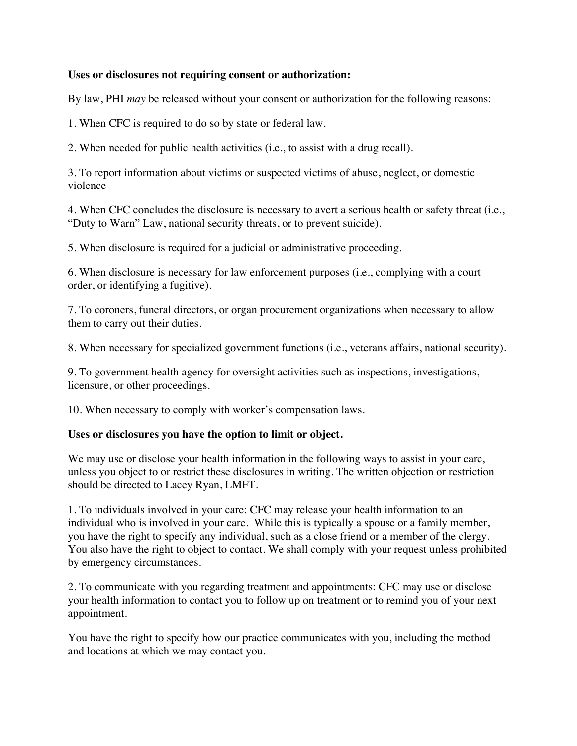### **Uses or disclosures not requiring consent or authorization:**

By law, PHI *may* be released without your consent or authorization for the following reasons:

1. When CFC is required to do so by state or federal law.

2. When needed for public health activities (i.e., to assist with a drug recall).

3. To report information about victims or suspected victims of abuse, neglect, or domestic violence

4. When CFC concludes the disclosure is necessary to avert a serious health or safety threat (i.e., "Duty to Warn" Law, national security threats, or to prevent suicide).

5. When disclosure is required for a judicial or administrative proceeding.

6. When disclosure is necessary for law enforcement purposes (i.e., complying with a court order, or identifying a fugitive).

7. To coroners, funeral directors, or organ procurement organizations when necessary to allow them to carry out their duties.

8. When necessary for specialized government functions (i.e., veterans affairs, national security).

9. To government health agency for oversight activities such as inspections, investigations, licensure, or other proceedings.

10. When necessary to comply with worker's compensation laws.

#### **Uses or disclosures you have the option to limit or object.**

We may use or disclose your health information in the following ways to assist in your care, unless you object to or restrict these disclosures in writing. The written objection or restriction should be directed to Lacey Ryan, LMFT.

1. To individuals involved in your care: CFC may release your health information to an individual who is involved in your care. While this is typically a spouse or a family member, you have the right to specify any individual, such as a close friend or a member of the clergy. You also have the right to object to contact. We shall comply with your request unless prohibited by emergency circumstances.

2. To communicate with you regarding treatment and appointments: CFC may use or disclose your health information to contact you to follow up on treatment or to remind you of your next appointment.

You have the right to specify how our practice communicates with you, including the method and locations at which we may contact you.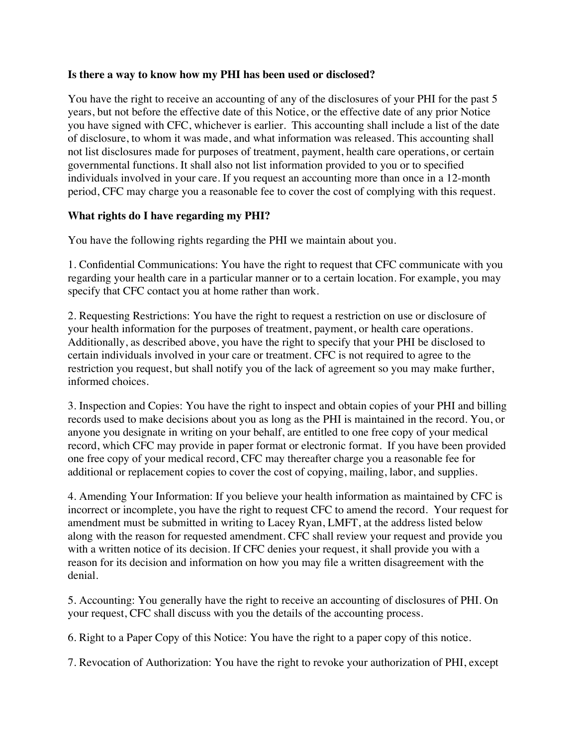#### **Is there a way to know how my PHI has been used or disclosed?**

You have the right to receive an accounting of any of the disclosures of your PHI for the past 5 years, but not before the effective date of this Notice, or the effective date of any prior Notice you have signed with CFC, whichever is earlier. This accounting shall include a list of the date of disclosure, to whom it was made, and what information was released. This accounting shall not list disclosures made for purposes of treatment, payment, health care operations, or certain governmental functions. It shall also not list information provided to you or to specified individuals involved in your care. If you request an accounting more than once in a 12-month period, CFC may charge you a reasonable fee to cover the cost of complying with this request.

#### **What rights do I have regarding my PHI?**

You have the following rights regarding the PHI we maintain about you.

1. Confidential Communications: You have the right to request that CFC communicate with you regarding your health care in a particular manner or to a certain location. For example, you may specify that CFC contact you at home rather than work.

2. Requesting Restrictions: You have the right to request a restriction on use or disclosure of your health information for the purposes of treatment, payment, or health care operations. Additionally, as described above, you have the right to specify that your PHI be disclosed to certain individuals involved in your care or treatment. CFC is not required to agree to the restriction you request, but shall notify you of the lack of agreement so you may make further, informed choices.

3. Inspection and Copies: You have the right to inspect and obtain copies of your PHI and billing records used to make decisions about you as long as the PHI is maintained in the record. You, or anyone you designate in writing on your behalf, are entitled to one free copy of your medical record, which CFC may provide in paper format or electronic format. If you have been provided one free copy of your medical record, CFC may thereafter charge you a reasonable fee for additional or replacement copies to cover the cost of copying, mailing, labor, and supplies.

4. Amending Your Information: If you believe your health information as maintained by CFC is incorrect or incomplete, you have the right to request CFC to amend the record. Your request for amendment must be submitted in writing to Lacey Ryan, LMFT, at the address listed below along with the reason for requested amendment. CFC shall review your request and provide you with a written notice of its decision. If CFC denies your request, it shall provide you with a reason for its decision and information on how you may file a written disagreement with the denial.

5. Accounting: You generally have the right to receive an accounting of disclosures of PHI. On your request, CFC shall discuss with you the details of the accounting process.

6. Right to a Paper Copy of this Notice: You have the right to a paper copy of this notice.

7. Revocation of Authorization: You have the right to revoke your authorization of PHI, except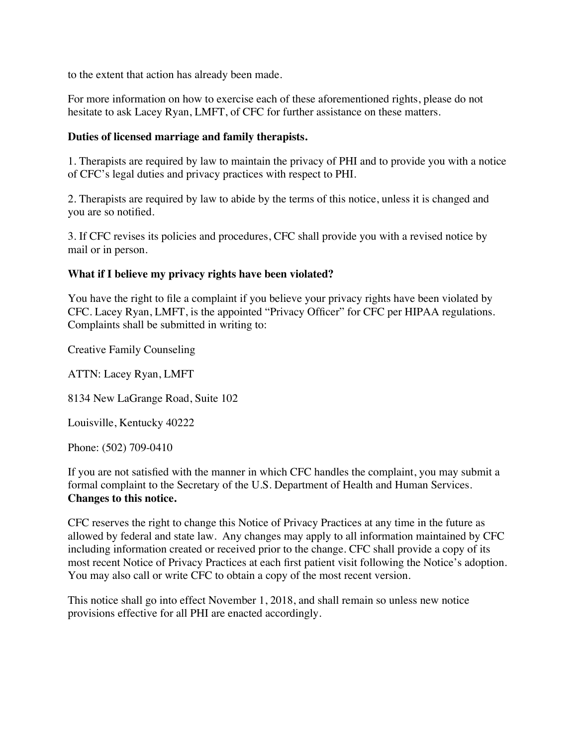to the extent that action has already been made.

For more information on how to exercise each of these aforementioned rights, please do not hesitate to ask Lacey Ryan, LMFT, of CFC for further assistance on these matters.

# **Duties of licensed marriage and family therapists.**

1. Therapists are required by law to maintain the privacy of PHI and to provide you with a notice of CFC's legal duties and privacy practices with respect to PHI.

2. Therapists are required by law to abide by the terms of this notice, unless it is changed and you are so notified.

3. If CFC revises its policies and procedures, CFC shall provide you with a revised notice by mail or in person.

# **What if I believe my privacy rights have been violated?**

You have the right to file a complaint if you believe your privacy rights have been violated by CFC. Lacey Ryan, LMFT, is the appointed "Privacy Officer" for CFC per HIPAA regulations. Complaints shall be submitted in writing to:

Creative Family Counseling

ATTN: Lacey Ryan, LMFT

8134 New LaGrange Road, Suite 102

Louisville, Kentucky 40222

Phone: (502) 709-0410

If you are not satisfied with the manner in which CFC handles the complaint, you may submit a formal complaint to the Secretary of the U.S. Department of Health and Human Services. **Changes to this notice.**

CFC reserves the right to change this Notice of Privacy Practices at any time in the future as allowed by federal and state law. Any changes may apply to all information maintained by CFC including information created or received prior to the change. CFC shall provide a copy of its most recent Notice of Privacy Practices at each first patient visit following the Notice's adoption. You may also call or write CFC to obtain a copy of the most recent version.

This notice shall go into effect November 1, 2018, and shall remain so unless new notice provisions effective for all PHI are enacted accordingly.